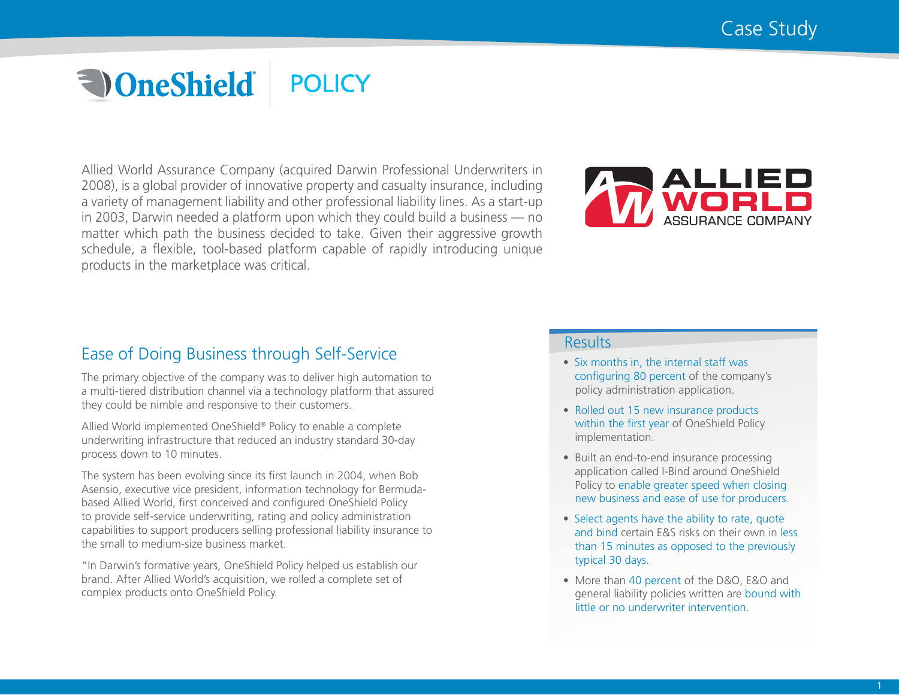# **a** OneShield® **POLICY**

Allied World Assurance Company (acquired Darwin Professional Underwriters in 2008), is a global provider of innovative property and casualty insurance, including a variety of management liability and other professional liability lines. As a start-up in 2003, Darwin needed a platform upon which they could build a business — no matter which path the business decided to take. Given their aggressive growth schedule, a flexible, tool-based platform capable of rapidly introducing unique products in the marketplace was critical.



# Ease of Doing Business through Self-Service

The primary objective of the company was to deliver high automation to a multi-tiered distribution channel via a technology platform that assured they could be nimble and responsive to their customers.

Allied World implemented OneShield® Policy to enable a complete underwriting infrastructure that reduced an industry standard 30-day process down to 10 minutes.

The system has been evolving since its first launch in 2004, when Bob Asensio, executive vice president, information technology for Bermudabased Allied World, first conceived and configured OneShield Policy to provide self-service underwriting, rating and policy administration capabilities to support producers selling professional liability insurance to the small to medium-size business market.

"In Darwin's formative years, OneShield Policy helped us establish our brand. After Allied World's acquisition, we rolled a complete set of complex products onto OneShield Policy.

### **Results**

- Six months in, the internal staff was configuring 80 percent of the company's policy administration application.
- Rolled out 15 new insurance products within the first year of OneShield Policy implementation.
- Built an end-to-end insurance processing application called I-Bind around OneShield Policy to enable greater speed when closing new business and ease of use for producers.
- Select agents have the ability to rate, quote and bind certain E&S risks on their own in less than 15 minutes as opposed to the previously typical 30 days.
- More than 40 percent of the D&O, E&O and general liability policies written are bound with little or no underwriter intervention.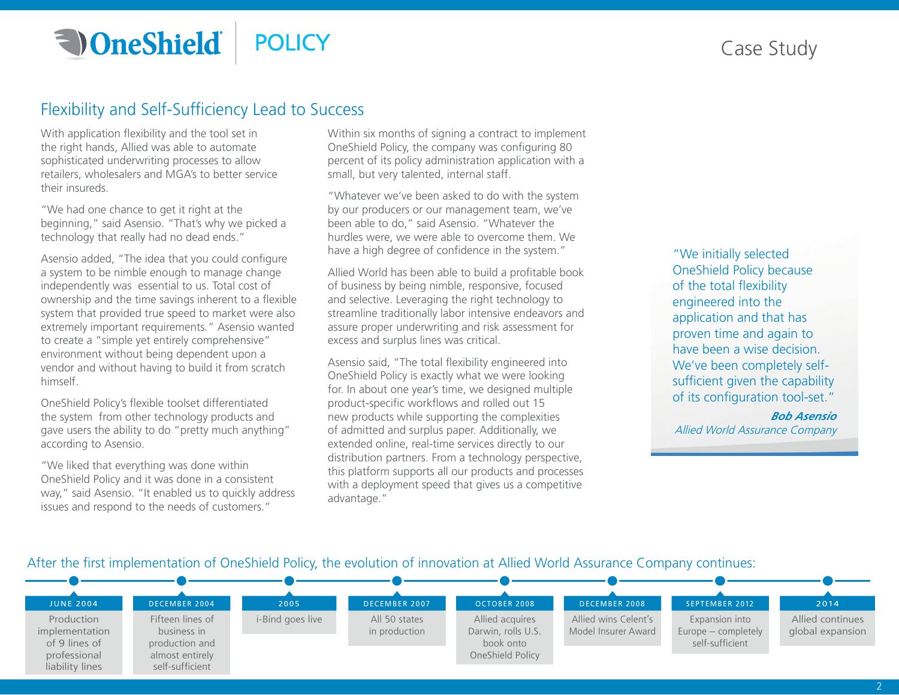**a** OneShield **POLICY** 

# Case Study

# Flexibility and Self-Sufficiency Lead to Success

With application flexibility and the tool set in the right hands, Allied was able to automate sophisticated underwriting processes to allow retailers, wholesalers and MGA's to better service their insureds.

"We had one chance to get it right at the beginning," said Asensio. "That's why we picked a technology that really had no dead ends."

Asensio added, "The idea that you could configure a system to be nimble enough to manage change independently was essential to us. Total cost of ownership and the time savings inherent to a flexible system that provided true speed to market were also extremely important requirements." Asensio wanted to create a "simple yet entirely comprehensive" environment without being dependent upon a vendor and without having to build it from scratch himself.

OneShield Policy's flexible toolset differentiated the system from other technology products and gave users the ability to do "pretty much anything" according to Asensio.

"We liked that everything was done within OneShield Policy and it was done in a consistent way," said Asensio. "It enabled us to quickly address issues and respond to the needs of customers."

Within six months of signing a contract to implement OneShield Policy, the company was configuring 80 percent of its policy administration application with a small, but very talented, internal staff.

"Whatever we've been asked to do with the system by our producers or our management team, we've been able to do," said Asensio. "Whatever the hurdles were, we were able to overcome them. We have a high degree of confidence in the system."

Allied World has been able to build a profitable book of business by being nimble, responsive, focused and selective. Leveraging the right technology to streamline traditionally labor intensive endeavors and assure proper underwriting and risk assessment for excess and surplus lines was critical.

Asensio said, "The total flexibility engineered into OneShield Policy is exactly what we were looking for. In about one year's time, we designed multiple product-specific workflows and rolled out 15 new products while supporting the complexities of admitted and surplus paper. Additionally, we extended online, real-time services directly to our distribution partners. From a technology perspective, this platform supports all our products and processes with a deployment speed that gives us a competitive advantage."

"We initially selected OneShield Policy because of the total flexibility engineered into the application and that has proven time and again to have been a wise decision. We've been completely selfsufficient given the capability of its configuration tool-set."

*Bob Asensio* Allied World Assurance Company

After the first implementation of OneShield Policy, the evolution of innovation at Allied World Assurance Company continues: